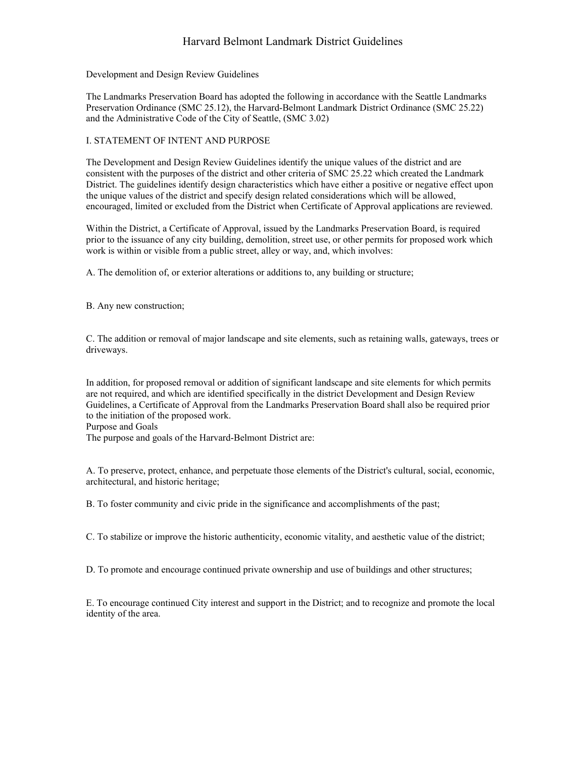Development and Design Review Guidelines

The Landmarks Preservation Board has adopted the following in accordance with the Seattle Landmarks Preservation Ordinance (SMC 25.12), the Harvard-Belmont Landmark District Ordinance (SMC 25.22) and the Administrative Code of the City of Seattle, (SMC 3.02)

### I. STATEMENT OF INTENT AND PURPOSE

The Development and Design Review Guidelines identify the unique values of the district and are consistent with the purposes of the district and other criteria of SMC 25.22 which created the Landmark District. The guidelines identify design characteristics which have either a positive or negative effect upon the unique values of the district and specify design related considerations which will be allowed, encouraged, limited or excluded from the District when Certificate of Approval applications are reviewed.

Within the District, a Certificate of Approval, issued by the Landmarks Preservation Board, is required prior to the issuance of any city building, demolition, street use, or other permits for proposed work which work is within or visible from a public street, alley or way, and, which involves:

A. The demolition of, or exterior alterations or additions to, any building or structure;

B. Any new construction;

C. The addition or removal of major landscape and site elements, such as retaining walls, gateways, trees or driveways.

In addition, for proposed removal or addition of significant landscape and site elements for which permits are not required, and which are identified specifically in the district Development and Design Review Guidelines, a Certificate of Approval from the Landmarks Preservation Board shall also be required prior to the initiation of the proposed work.

Purpose and Goals

The purpose and goals of the Harvard-Belmont District are:

A. To preserve, protect, enhance, and perpetuate those elements of the District's cultural, social, economic, architectural, and historic heritage;

B. To foster community and civic pride in the significance and accomplishments of the past;

C. To stabilize or improve the historic authenticity, economic vitality, and aesthetic value of the district;

D. To promote and encourage continued private ownership and use of buildings and other structures;

E. To encourage continued City interest and support in the District; and to recognize and promote the local identity of the area.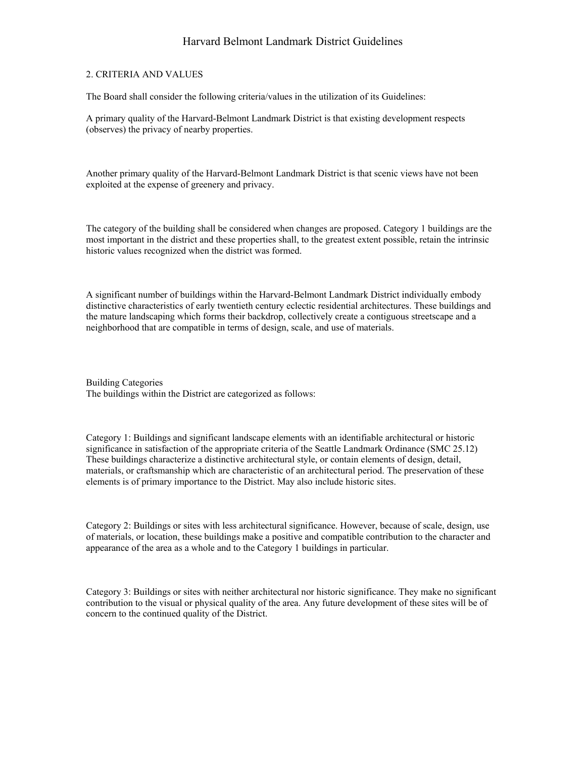#### 2. CRITERIA AND VALUES

The Board shall consider the following criteria/values in the utilization of its Guidelines:

A primary quality of the Harvard-Belmont Landmark District is that existing development respects (observes) the privacy of nearby properties.

Another primary quality of the Harvard-Belmont Landmark District is that scenic views have not been exploited at the expense of greenery and privacy.

The category of the building shall be considered when changes are proposed. Category 1 buildings are the most important in the district and these properties shall, to the greatest extent possible, retain the intrinsic historic values recognized when the district was formed.

A significant number of buildings within the Harvard-Belmont Landmark District individually embody distinctive characteristics of early twentieth century eclectic residential architectures. These buildings and the mature landscaping which forms their backdrop, collectively create a contiguous streetscape and a neighborhood that are compatible in terms of design, scale, and use of materials.

Building Categories The buildings within the District are categorized as follows:

Category 1: Buildings and significant landscape elements with an identifiable architectural or historic significance in satisfaction of the appropriate criteria of the Seattle Landmark Ordinance (SMC 25.12) These buildings characterize a distinctive architectural style, or contain elements of design, detail, materials, or craftsmanship which are characteristic of an architectural period. The preservation of these elements is of primary importance to the District. May also include historic sites.

Category 2: Buildings or sites with less architectural significance. However, because of scale, design, use of materials, or location, these buildings make a positive and compatible contribution to the character and appearance of the area as a whole and to the Category 1 buildings in particular.

Category 3: Buildings or sites with neither architectural nor historic significance. They make no significant contribution to the visual or physical quality of the area. Any future development of these sites will be of concern to the continued quality of the District.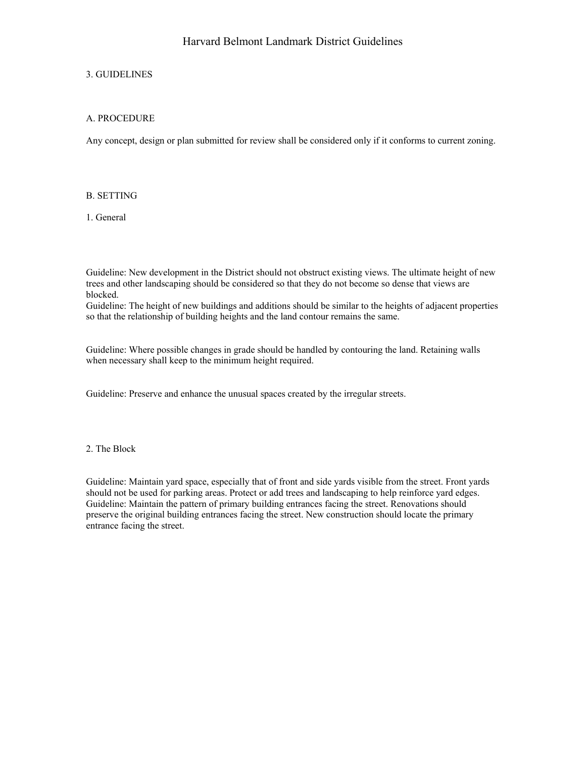### 3. GUIDELINES

### A. PROCEDURE

Any concept, design or plan submitted for review shall be considered only if it conforms to current zoning.

## B. SETTING

1. General

Guideline: New development in the District should not obstruct existing views. The ultimate height of new trees and other landscaping should be considered so that they do not become so dense that views are blocked.

Guideline: The height of new buildings and additions should be similar to the heights of adjacent properties so that the relationship of building heights and the land contour remains the same.

Guideline: Where possible changes in grade should be handled by contouring the land. Retaining walls when necessary shall keep to the minimum height required.

Guideline: Preserve and enhance the unusual spaces created by the irregular streets.

### 2. The Block

Guideline: Maintain yard space, especially that of front and side yards visible from the street. Front yards should not be used for parking areas. Protect or add trees and landscaping to help reinforce yard edges. Guideline: Maintain the pattern of primary building entrances facing the street. Renovations should preserve the original building entrances facing the street. New construction should locate the primary entrance facing the street.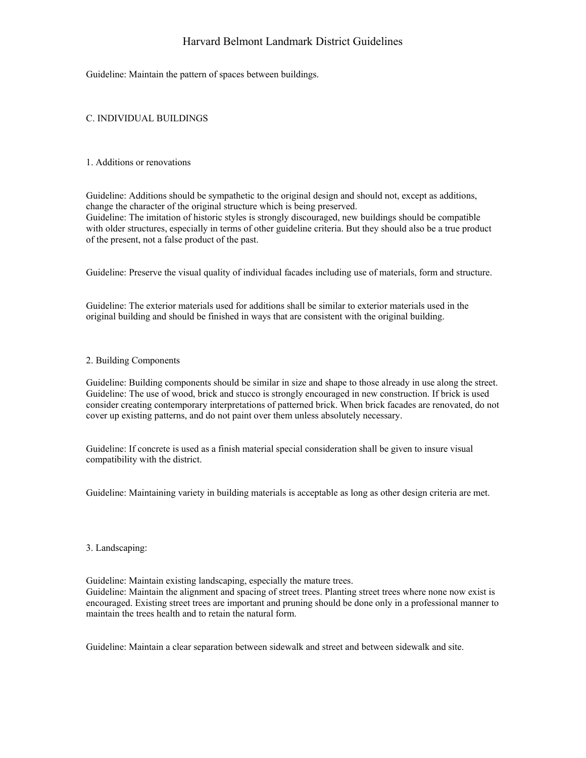Guideline: Maintain the pattern of spaces between buildings.

### C. INDIVIDUAL BUILDINGS

#### 1. Additions or renovations

Guideline: Additions should be sympathetic to the original design and should not, except as additions, change the character of the original structure which is being preserved. Guideline: The imitation of historic styles is strongly discouraged, new buildings should be compatible with older structures, especially in terms of other guideline criteria. But they should also be a true product of the present, not a false product of the past.

Guideline: Preserve the visual quality of individual facades including use of materials, form and structure.

Guideline: The exterior materials used for additions shall be similar to exterior materials used in the original building and should be finished in ways that are consistent with the original building.

#### 2. Building Components

Guideline: Building components should be similar in size and shape to those already in use along the street. Guideline: The use of wood, brick and stucco is strongly encouraged in new construction. If brick is used consider creating contemporary interpretations of patterned brick. When brick facades are renovated, do not cover up existing patterns, and do not paint over them unless absolutely necessary.

Guideline: If concrete is used as a finish material special consideration shall be given to insure visual compatibility with the district.

Guideline: Maintaining variety in building materials is acceptable as long as other design criteria are met.

#### 3. Landscaping:

Guideline: Maintain existing landscaping, especially the mature trees.

Guideline: Maintain the alignment and spacing of street trees. Planting street trees where none now exist is encouraged. Existing street trees are important and pruning should be done only in a professional manner to maintain the trees health and to retain the natural form.

Guideline: Maintain a clear separation between sidewalk and street and between sidewalk and site.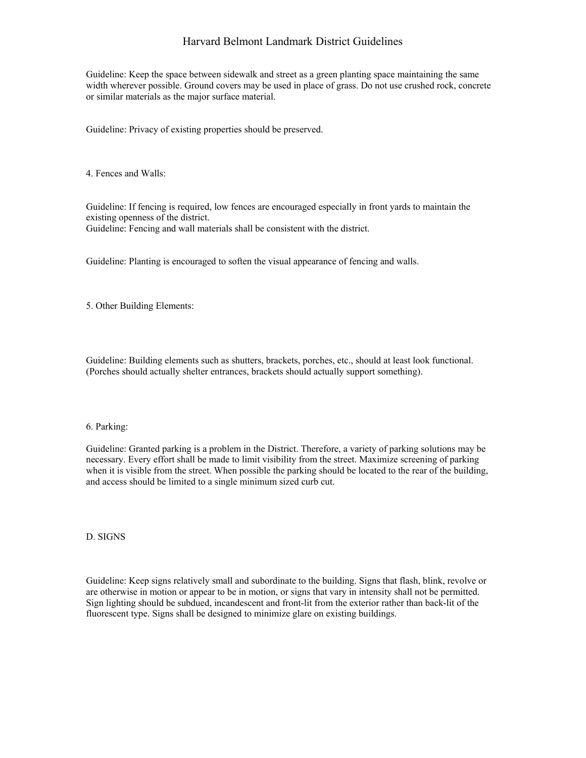Guideline: Keep the space between sidewalk and street as a green planting space maintaining the same width wherever possible. Ground covers may be used in place of grass. Do not use crushed rock, concrete or similar materials as the major surface material.

Guideline: Privacy of existing properties should be preserved.

4. Fences and Walls:

Guideline: If fencing is required, low fences are encouraged especially in front yards to maintain the existing openness of the district. Guideline: Fencing and wall materials shall be consistent with the district.

Guideline: Planting is encouraged to soften the visual appearance of fencing and walls.

5. Other Building Elements:

Guideline: Building elements such as shutters, brackets, porches, etc., should at least look functional. (Porches should actually shelter entrances, brackets should actually support something).

#### 6. Parking:

Guideline: Granted parking is a problem in the District. Therefore, a variety of parking solutions may be necessary. Every effort shall be made to limit visibility from the street. Maximize screening of parking when it is visible from the street. When possible the parking should be located to the rear of the building, and access should be limited to a single minimum sized curb cut.

D. SIGNS

Guideline: Keep signs relatively small and subordinate to the building. Signs that flash, blink, revolve or are otherwise in motion or appear to be in motion, or signs that vary in intensity shall not be permitted. Sign lighting should be subdued, incandescent and front-lit from the exterior rather than back-lit of the fluorescent type. Signs shall be designed to minimize glare on existing buildings.